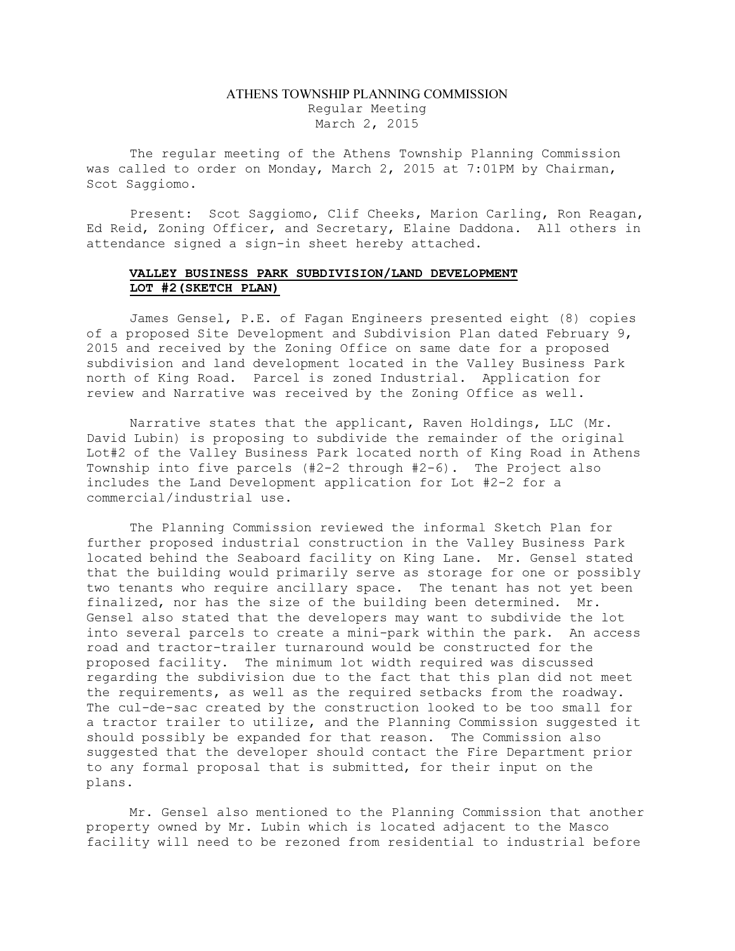## ATHENS TOWNSHIP PLANNING COMMISSION Regular Meeting March 2, 2015

The regular meeting of the Athens Township Planning Commission was called to order on Monday, March 2, 2015 at 7:01PM by Chairman, Scot Saggiomo.

Present: Scot Saggiomo, Clif Cheeks, Marion Carling, Ron Reagan, Ed Reid, Zoning Officer, and Secretary, Elaine Daddona. All others in attendance signed a sign-in sheet hereby attached.

## VALLEY BUSINESS PARK SUBDIVISION/LAND DEVELOPMENT LOT #2(SKETCH PLAN)

James Gensel, P.E. of Fagan Engineers presented eight (8) copies of a proposed Site Development and Subdivision Plan dated February 9, 2015 and received by the Zoning Office on same date for a proposed subdivision and land development located in the Valley Business Park north of King Road. Parcel is zoned Industrial. Application for review and Narrative was received by the Zoning Office as well.

Narrative states that the applicant, Raven Holdings, LLC (Mr. David Lubin) is proposing to subdivide the remainder of the original Lot#2 of the Valley Business Park located north of King Road in Athens Township into five parcels (#2-2 through #2-6). The Project also includes the Land Development application for Lot #2-2 for a commercial/industrial use.

The Planning Commission reviewed the informal Sketch Plan for further proposed industrial construction in the Valley Business Park located behind the Seaboard facility on King Lane. Mr. Gensel stated that the building would primarily serve as storage for one or possibly two tenants who require ancillary space. The tenant has not yet been finalized, nor has the size of the building been determined. Mr. Gensel also stated that the developers may want to subdivide the lot into several parcels to create a mini-park within the park. An access road and tractor-trailer turnaround would be constructed for the proposed facility. The minimum lot width required was discussed regarding the subdivision due to the fact that this plan did not meet the requirements, as well as the required setbacks from the roadway. The cul-de-sac created by the construction looked to be too small for a tractor trailer to utilize, and the Planning Commission suggested it should possibly be expanded for that reason. The Commission also suggested that the developer should contact the Fire Department prior to any formal proposal that is submitted, for their input on the plans.

Mr. Gensel also mentioned to the Planning Commission that another property owned by Mr. Lubin which is located adjacent to the Masco facility will need to be rezoned from residential to industrial before